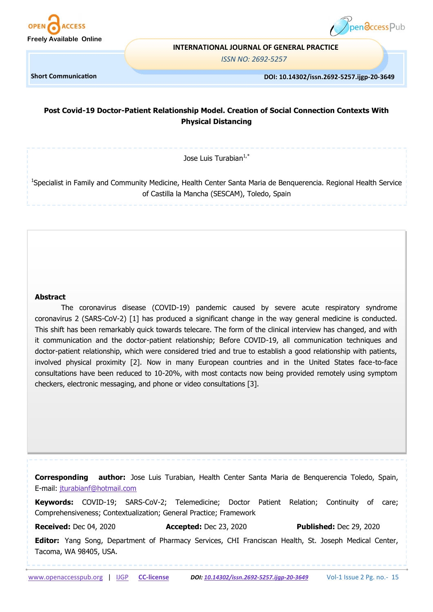



#### **INTERNATIONAL JOURNAL OF GENERAL PRACTICE**

*ISSN NO: 2692-5257*

**Short Communication** 

#### **DOI: 10.14302/issn.2692-5257.ijgp-20-3649**

# **Post Covid-19 Doctor-Patient Relationship Model. Creation of Social Connection Contexts With Physical Distancing**

Jose Luis Turabian $1,^*$ 

<sup>1</sup>Specialist in Family and Community Medicine, Health Center Santa Maria de Benquerencia. Regional Health Service of Castilla la Mancha (SESCAM), Toledo, Spain

#### **Abstract**

The coronavirus disease (COVID-19) pandemic caused by severe acute respiratory syndrome coronavirus 2 (SARS-CoV-2) [1] has produced a significant change in the way general medicine is conducted. This shift has been remarkably quick towards telecare. The form of the clinical interview has changed, and with it communication and the doctor-patient relationship; Before COVID-19, all communication techniques and doctor-patient relationship, which were considered tried and true to establish a good relationship with patients, involved physical proximity [2]. Now in many European countries and in the United States face-to-face consultations have been reduced to 10-20%, with most contacts now being provided remotely using symptom checkers, electronic messaging, and phone or video consultations [3].

**Corresponding author:** Jose Luis Turabian, Health Center Santa Maria de Benquerencia Toledo, Spain, E-mail: [jturabianf@hotmail.com](mailto:jturabianf@hotmail.com)

**Keywords:** COVID-19; SARS-CoV-2; Telemedicine; Doctor Patient Relation; Continuity of care; Comprehensiveness; Contextualization; General Practice; Framework

**Received:** Dec 04, 2020 **Accepted:** Dec 23, 2020 **Published:** Dec 29, 2020

**Editor:** Yang Song, Department of Pharmacy Services, CHI Franciscan Health, St. Joseph Medical Center, Tacoma, WA 98405, USA.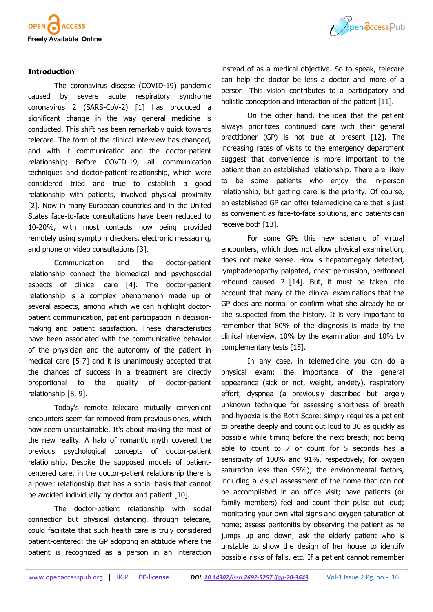

### **Introduction**

The coronavirus disease (COVID-19) pandemic caused by severe acute respiratory syndrome coronavirus 2 (SARS-CoV-2) [1] has produced a significant change in the way general medicine is conducted. This shift has been remarkably quick towards telecare. The form of the clinical interview has changed, and with it communication and the doctor-patient relationship; Before COVID-19, all communication techniques and doctor-patient relationship, which were considered tried and true to establish a good relationship with patients, involved physical proximity [2]. Now in many European countries and in the United States face-to-face consultations have been reduced to 10-20%, with most contacts now being provided remotely using symptom checkers, electronic messaging, and phone or video consultations [3].

Communication and the doctor-patient relationship connect the biomedical and psychosocial aspects of clinical care [4]. The doctor-patient relationship is a complex phenomenon made up of several aspects, among which we can highlight doctorpatient communication, patient participation in decisionmaking and patient satisfaction. These characteristics have been associated with the communicative behavior of the physician and the autonomy of the patient in medical care [5-7] and it is unanimously accepted that the chances of success in a treatment are directly proportional to the quality of doctor-patient relationship [8, 9].

Today's remote telecare mutually convenient encounters seem far removed from previous ones, which now seem unsustainable. It's about making the most of the new reality. A halo of romantic myth covered the previous psychological concepts of doctor-patient relationship. Despite the supposed models of patientcentered care, in the doctor-patient relationship there is a power relationship that has a social basis that cannot be avoided individually by doctor and patient [10].

The doctor-patient relationship with social connection but physical distancing, through telecare, could facilitate that such health care is truly considered patient-centered: the GP adopting an attitude where the patient is recognized as a person in an interaction



instead of as a medical objective. So to speak, telecare can help the doctor be less a doctor and more of a person. This vision contributes to a participatory and holistic conception and interaction of the patient [11].

On the other hand, the idea that the patient always prioritizes continued care with their general practitioner (GP) is not true at present [12]. The increasing rates of visits to the emergency department suggest that convenience is more important to the patient than an established relationship. There are likely to be some patients who enjoy the in-person relationship, but getting care is the priority. Of course, an established GP can offer telemedicine care that is just as convenient as face-to-face solutions, and patients can receive both [13].

For some GPs this new scenario of virtual encounters, which does not allow physical examination, does not make sense. How is hepatomegaly detected, lymphadenopathy palpated, chest percussion, peritoneal rebound caused…? [14]. But, it must be taken into account that many of the clinical examinations that the GP does are normal or confirm what she already he or she suspected from the history. It is very important to remember that 80% of the diagnosis is made by the clinical interview, 10% by the examination and 10% by complementary tests [15].

In any case, in telemedicine you can do a physical exam: the importance of the general appearance (sick or not, weight, anxiety), respiratory effort; dyspnea (a previously described but largely unknown technique for assessing shortness of breath and hypoxia is the Roth Score: simply requires a patient to breathe deeply and count out loud to 30 as quickly as possible while timing before the next breath; not being able to count to 7 or count for 5 seconds has a sensitivity of 100% and 91%, respectively, for oxygen saturation less than 95%); the environmental factors, including a visual assessment of the home that can not be accomplished in an office visit; have patients (or family members) feel and count their pulse out loud; monitoring your own vital signs and oxygen saturation at home; assess peritonitis by observing the patient as he jumps up and down; ask the elderly patient who is unstable to show the design of her house to identify possible risks of falls, etc. If a patient cannot remember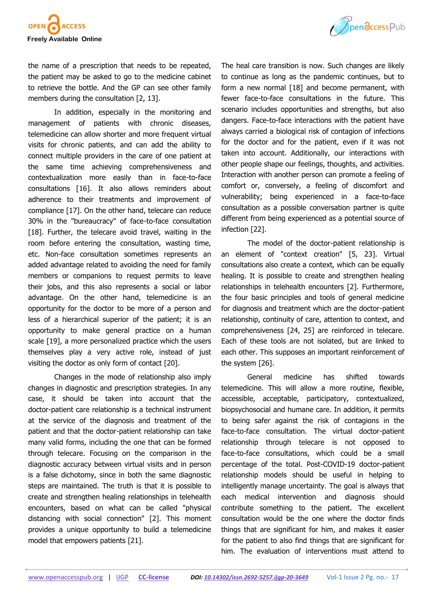

the name of a prescription that needs to be repeated, the patient may be asked to go to the medicine cabinet to retrieve the bottle. And the GP can see other family members during the consultation [2, 13].

In addition, especially in the monitoring and management of patients with chronic diseases, telemedicine can allow shorter and more frequent virtual visits for chronic patients, and can add the ability to connect multiple providers in the care of one patient at the same time achieving comprehensiveness and contextualization more easily than in face-to-face consultations [16]. It also allows reminders about adherence to their treatments and improvement of compliance [17]. On the other hand, telecare can reduce 30% in the "bureaucracy" of face-to-face consultation [18]. Further, the telecare avoid travel, waiting in the room before entering the consultation, wasting time, etc. Non-face consultation sometimes represents an added advantage related to avoiding the need for family members or companions to request permits to leave their jobs, and this also represents a social or labor advantage. On the other hand, telemedicine is an opportunity for the doctor to be more of a person and less of a hierarchical superior of the patient; it is an opportunity to make general practice on a human scale [19], a more personalized practice which the users themselves play a very active role, instead of just visiting the doctor as only form of contact [20].

Changes in the mode of relationship also imply changes in diagnostic and prescription strategies. In any case, it should be taken into account that the doctor-patient care relationship is a technical instrument at the service of the diagnosis and treatment of the patient and that the doctor-patient relationship can take many valid forms, including the one that can be formed through telecare. Focusing on the comparison in the diagnostic accuracy between virtual visits and in person is a false dichotomy, since in both the same diagnostic steps are maintained. The truth is that it is possible to create and strengthen healing relationships in telehealth encounters, based on what can be called "physical distancing with social connection" [2]. This moment provides a unique opportunity to build a telemedicine model that empowers patients [21].



The heal care transition is now. Such changes are likely to continue as long as the pandemic continues, but to form a new normal [18] and become permanent, with fewer face-to-face consultations in the future. This scenario includes opportunities and strengths, but also dangers. Face-to-face interactions with the patient have always carried a biological risk of contagion of infections for the doctor and for the patient, even if it was not taken into account. Additionally, our interactions with other people shape our feelings, thoughts, and activities. Interaction with another person can promote a feeling of comfort or, conversely, a feeling of discomfort and vulnerability; being experienced in a face-to-face consultation as a possible conversation partner is quite different from being experienced as a potential source of infection [22].

The model of the doctor-patient relationship is an element of "context creation" [5, 23]. Virtual consultations also create a context, which can be equally healing. It is possible to create and strengthen healing relationships in telehealth encounters [2]. Furthermore, the four basic principles and tools of general medicine for diagnosis and treatment which are the doctor-patient relationship, continuity of care, attention to context, and comprehensiveness [24, 25] are reinforced in telecare. Each of these tools are not isolated, but are linked to each other. This supposes an important reinforcement of the system [26].

General medicine has shifted towards telemedicine. This will allow a more routine, flexible, accessible, acceptable, participatory, contextualized, biopsychosocial and humane care. In addition, it permits to being safer against the risk of contagions in the face-to-face consultation. The virtual doctor-patient relationship through telecare is not opposed to face-to-face consultations, which could be a small percentage of the total. Post-COVID-19 doctor-patient relationship models should be useful in helping to intelligently manage uncertainty. The goal is always that each medical intervention and diagnosis should contribute something to the patient. The excellent consultation would be the one where the doctor finds things that are significant for him, and makes it easier for the patient to also find things that are significant for him. The evaluation of interventions must attend to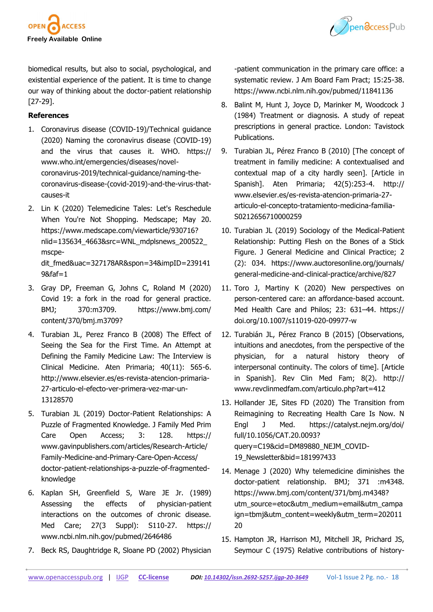



biomedical results, but also to social, psychological, and existential experience of the patient. It is time to change our way of thinking about the doctor-patient relationship [27-29].

## **References**

- 1. Coronavirus disease (COVID-19)/Technical guidance (2020) Naming the coronavirus disease (COVID-19) and the virus that causes it. WHO. [https://](https://www.who.int/emergencies/diseases/novel-coronavirus-2019/technical-guidance/naming-the-coronavirus-disease-(covid-2019)-and-the-virus-that-causes-it) [www.who.int/emergencies/diseases/novel](https://www.who.int/emergencies/diseases/novel-coronavirus-2019/technical-guidance/naming-the-coronavirus-disease-(covid-2019)-and-the-virus-that-causes-it)coronavirus-2019/technical-[guidance/naming](https://www.who.int/emergencies/diseases/novel-coronavirus-2019/technical-guidance/naming-the-coronavirus-disease-(covid-2019)-and-the-virus-that-causes-it)-the[coronavirus](https://www.who.int/emergencies/diseases/novel-coronavirus-2019/technical-guidance/naming-the-coronavirus-disease-(covid-2019)-and-the-virus-that-causes-it)-disease-(covid-2019)-and-the-virus-that[causes](https://www.who.int/emergencies/diseases/novel-coronavirus-2019/technical-guidance/naming-the-coronavirus-disease-(covid-2019)-and-the-virus-that-causes-it)-it
- 2. Lin K (2020) Telemedicine Tales: Let's Reschedule When You're Not Shopping. Medscape; May 20. [https://www.medscape.com/viewarticle/930716?](https://www.medscape.com/viewarticle/930716?nlid=135634_4663&src=WNL_mdplsnews_200522_mscpedit_fmed&uac=327178AR&spon=34&impID=2391419&faf=1) [nlid=135634\\_4663&src=WNL\\_mdplsnews\\_200522\\_](https://www.medscape.com/viewarticle/930716?nlid=135634_4663&src=WNL_mdplsnews_200522_mscpedit_fmed&uac=327178AR&spon=34&impID=2391419&faf=1) [mscpe](https://www.medscape.com/viewarticle/930716?nlid=135634_4663&src=WNL_mdplsnews_200522_mscpedit_fmed&uac=327178AR&spon=34&impID=2391419&faf=1)[dit\\_fmed&uac=327178AR&spon=34&impID=239141](https://www.medscape.com/viewarticle/930716?nlid=135634_4663&src=WNL_mdplsnews_200522_mscpedit_fmed&uac=327178AR&spon=34&impID=2391419&faf=1)  $98$ faf=1
- 3. Gray DP, Freeman G, Johns C, Roland M (2020) Covid 19: a fork in the road for general practice. BMJ; 370:m3709. [https://www.bmj.com/](https://www.bmj.com/content/370/bmj.m3709) [content/370/bmj.m3709?](https://www.bmj.com/content/370/bmj.m3709)
- 4. Turabian JL, Perez Franco B (2008) The Effect of Seeing the Sea for the First Time. An Attempt at Defining the Family Medicine Law: The Interview is Clinical Medicine. Aten Primaria; 40(11): 565-6. [http://www.elsevier.es/es](http://www.elsevier.es/es-revista-atencion-primaria-27-articulo-el-efecto-ver-primera-vez-mar-un-13128570)-revista-atencion-primaria-27-articulo-el-efecto-ver-[primera](http://www.elsevier.es/es-revista-atencion-primaria-27-articulo-el-efecto-ver-primera-vez-mar-un-13128570)-vez-mar-un-[13128570](http://www.elsevier.es/es-revista-atencion-primaria-27-articulo-el-efecto-ver-primera-vez-mar-un-13128570)
- 5. Turabian JL (2019) Doctor-Patient Relationships: A Puzzle of Fragmented Knowledge. J Family Med Prim Care Open Access; 3: 128. [https://](https://www.gavinpublishers.com/articles/Research-Article/Family-Medicine-and-Primary-Care-Open-Access/doctor-patient-relationships-a-puzzle-of-fragmented-knowledge) [www.gavinpublishers.com/articles/Research](https://www.gavinpublishers.com/articles/Research-Article/Family-Medicine-and-Primary-Care-Open-Access/doctor-patient-relationships-a-puzzle-of-fragmented-knowledge)-Article/ Family-[Medicine](https://www.gavinpublishers.com/articles/Research-Article/Family-Medicine-and-Primary-Care-Open-Access/doctor-patient-relationships-a-puzzle-of-fragmented-knowledge)-and-Primary-Care-Open-Access/ doctor-patient-[relationships](https://www.gavinpublishers.com/articles/Research-Article/Family-Medicine-and-Primary-Care-Open-Access/doctor-patient-relationships-a-puzzle-of-fragmented-knowledge)-a-puzzle-of-fragmented[knowledge](https://www.gavinpublishers.com/articles/Research-Article/Family-Medicine-and-Primary-Care-Open-Access/doctor-patient-relationships-a-puzzle-of-fragmented-knowledge)
- 6. Kaplan SH, Greenfield S, Ware JE Jr. (1989) Assessing the effects of physician-patient interactions on the outcomes of chronic disease. Med Care; 27(3 Suppl): S110-27. [https://](https://www.ncbi.nlm.nih.gov/pubmed/2646486) [www.ncbi.nlm.nih.gov/pubmed/2646486](https://www.ncbi.nlm.nih.gov/pubmed/2646486)
- 7. Beck RS, Daughtridge R, Sloane PD (2002) Physician

-patient communication in the primary care office: a systematic review. J Am Board Fam Pract; 15:25-38. <https://www.ncbi.nlm.nih.gov/pubmed/11841136>

- 8. Balint M, Hunt J, Joyce D, Marinker M, Woodcock J (1984) Treatment or diagnosis. A study of repeat prescriptions in general practice. London: Tavistock Publications.
- 9. Turabian JL, Pérez Franco B (2010) [The concept of treatment in familiy medicine: A contextualised and contextual map of a city hardly seen]. [Article in Spanish]. Aten Primaria; 42(5):253-4. [http://](http://www.elsevier.es/es-revista-atencion-primaria-27-articulo-el-concepto-tratamiento-medicina-familia-S0212656710000259) [www.elsevier.es/es](http://www.elsevier.es/es-revista-atencion-primaria-27-articulo-el-concepto-tratamiento-medicina-familia-S0212656710000259)-revista-atencion-primaria-27 articulo-el-concepto-[tratamiento](http://www.elsevier.es/es-revista-atencion-primaria-27-articulo-el-concepto-tratamiento-medicina-familia-S0212656710000259)-medicina-familia-[S0212656710000259](http://www.elsevier.es/es-revista-atencion-primaria-27-articulo-el-concepto-tratamiento-medicina-familia-S0212656710000259)
- 10. Turabian JL (2019) Sociology of the Medical-Patient Relationship: Putting Flesh on the Bones of a Stick Figure. J General Medicine and Clinical Practice; 2 (2): 034. [https://www.auctoresonline.org/journals/](https://www.auctoresonline.org/journals/general-medicine-and-clinical-practice/archive/827) general-medicine-and-clinical-[practice/archive/827](https://www.auctoresonline.org/journals/general-medicine-and-clinical-practice/archive/827)
- 11. Toro J, Martiny K (2020) New perspectives on person-centered care: an affordance-based account. Med Health Care and Philos; 23: 631–44. [https://](https://doi.org/10.1007/s11019-020-09977-w) [doi.org/10.1007/s11019](https://doi.org/10.1007/s11019-020-09977-w)-020-09977-w
- 12. Turabián JL, Pérez Franco B (2015) [Observations, intuitions and anecdotes, from the perspective of the physician, for a natural history theory of interpersonal continuity. The colors of time]. [Article in Spanish]. Rev Clin Med Fam; 8(2). [http://](http://www.revclinmedfam.com/articulo.php?art=412) [www.revclinmedfam.com/articulo.php?art=412](http://www.revclinmedfam.com/articulo.php?art=412)
- 13. Hollander JE, Sites FD (2020) The Transition from Reimagining to Recreating Health Care Is Now. N Engl J Med. [https://catalyst.nejm.org/doi/](https://catalyst.nejm.org/doi/full/10.1056/CAT.20.0093?query=C19&cid=DM89880_NEJM_COVID-19_Newsletter&bid=181997433) [full/10.1056/CAT.20.0093?](https://catalyst.nejm.org/doi/full/10.1056/CAT.20.0093?query=C19&cid=DM89880_NEJM_COVID-19_Newsletter&bid=181997433) [query=C19&cid=DM89880\\_NEJM\\_COVID](https://catalyst.nejm.org/doi/full/10.1056/CAT.20.0093?query=C19&cid=DM89880_NEJM_COVID-19_Newsletter&bid=181997433)-[19\\_Newsletter&bid=181997433](https://catalyst.nejm.org/doi/full/10.1056/CAT.20.0093?query=C19&cid=DM89880_NEJM_COVID-19_Newsletter&bid=181997433)
- 14. Menage J (2020) Why telemedicine diminishes the doctor-patient relationship. BMJ; 371 :m4348. [https://www.bmj.com/content/371/bmj.m4348?](https://www.bmj.com/content/371/bmj.m4348?utm_source=etoc&utm_medium=email&utm_campaign=tbmj&utm_content=weekly&utm_term=20201120) [utm\\_source=etoc&utm\\_medium=email&utm\\_campa](https://www.bmj.com/content/371/bmj.m4348?utm_source=etoc&utm_medium=email&utm_campaign=tbmj&utm_content=weekly&utm_term=20201120) [ign=tbmj&utm\\_content=weekly&utm\\_term=202011](https://www.bmj.com/content/371/bmj.m4348?utm_source=etoc&utm_medium=email&utm_campaign=tbmj&utm_content=weekly&utm_term=20201120) [20](https://www.bmj.com/content/371/bmj.m4348?utm_source=etoc&utm_medium=email&utm_campaign=tbmj&utm_content=weekly&utm_term=20201120)
- 15. Hampton JR, Harrison MJ, Mitchell JR, Prichard JS, Seymour C (1975) Relative contributions of history-